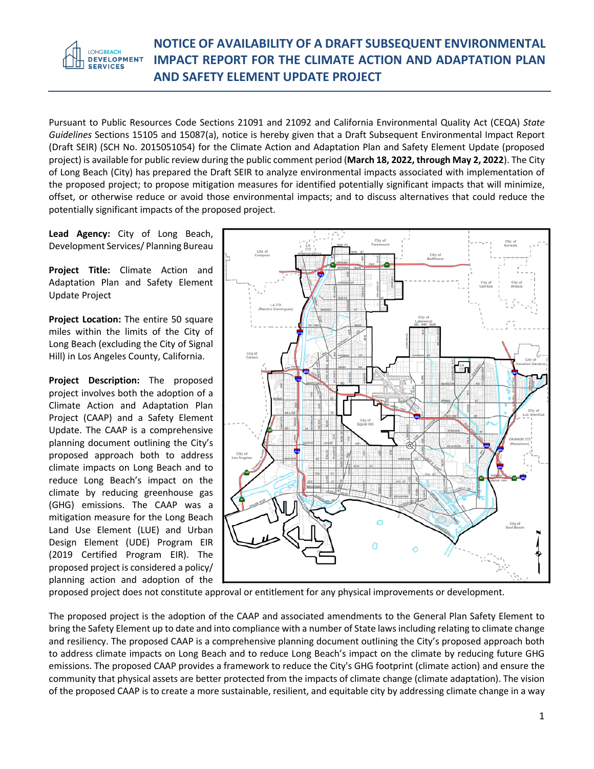### **NOTICE OF AVAILABILITY OF A DRAFT SUBSEQUENT ENVIRONMENTAL IMPACT REPORT FOR THE CLIMATE ACTION AND ADAPTATION PLAN AND SAFETY ELEMENT UPDATE PROJECT**

Pursuant to Public Resources Code Sections 21091 and 21092 and California Environmental Quality Act (CEQA) *State Guidelines* Sections 15105 and 15087(a), notice is hereby given that a Draft Subsequent Environmental Impact Report (Draft SEIR) (SCH No. 2015051054) for the Climate Action and Adaptation Plan and Safety Element Update (proposed project) is available for public review during the public comment period (**March 18, 2022, through May 2, 2022**). The City of Long Beach (City) has prepared the Draft SEIR to analyze environmental impacts associated with implementation of the proposed project; to propose mitigation measures for identified potentially significant impacts that will minimize, offset, or otherwise reduce or avoid those environmental impacts; and to discuss alternatives that could reduce the potentially significant impacts of the proposed project.

**Lead Agency:** City of Long Beach, Development Services/ Planning Bureau

**Project Title:** Climate Action and Adaptation Plan and Safety Element Update Project

**Project Location:** The entire 50 square miles within the limits of the City of Long Beach (excluding the City of Signal Hill) in Los Angeles County, California.

**Project Description:** The proposed project involves both the adoption of a Climate Action and Adaptation Plan Project (CAAP) and a Safety Element Update. The CAAP is a comprehensive planning document outlining the City's proposed approach both to address climate impacts on Long Beach and to reduce Long Beach's impact on the climate by reducing greenhouse gas (GHG) emissions. The CAAP was a mitigation measure for the Long Beach Land Use Element (LUE) and Urban Design Element (UDE) Program EIR (2019 Certified Program EIR). The proposed project is considered a policy/ planning action and adoption of the



proposed project does not constitute approval or entitlement for any physical improvements or development.

The proposed project is the adoption of the CAAP and associated amendments to the General Plan Safety Element to bring the Safety Element up to date and into compliance with a number of State laws including relating to climate change and resiliency. The proposed CAAP is a comprehensive planning document outlining the City's proposed approach both to address climate impacts on Long Beach and to reduce Long Beach's impact on the climate by reducing future GHG emissions. The proposed CAAP provides a framework to reduce the City's GHG footprint (climate action) and ensure the community that physical assets are better protected from the impacts of climate change (climate adaptation). The vision of the proposed CAAP is to create a more sustainable, resilient, and equitable city by addressing climate change in a way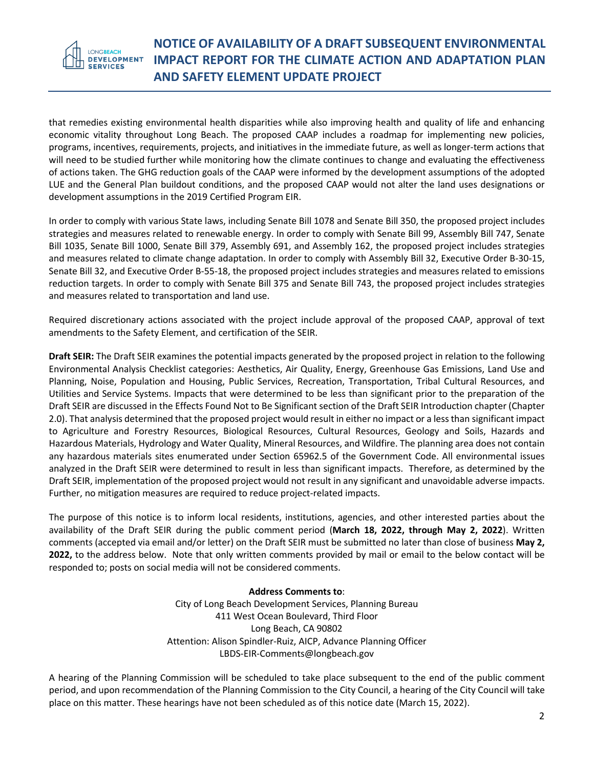**LONGBEACH DEVELOPMENT SERVICES** 

## **NOTICE OF AVAILABILITY OF A DRAFT SUBSEQUENT ENVIRONMENTAL IMPACT REPORT FOR THE CLIMATE ACTION AND ADAPTATION PLAN AND SAFETY ELEMENT UPDATE PROJECT**

that remedies existing environmental health disparities while also improving health and quality of life and enhancing economic vitality throughout Long Beach. The proposed CAAP includes a roadmap for implementing new policies, programs, incentives, requirements, projects, and initiatives in the immediate future, as well as longer-term actions that will need to be studied further while monitoring how the climate continues to change and evaluating the effectiveness of actions taken. The GHG reduction goals of the CAAP were informed by the development assumptions of the adopted LUE and the General Plan buildout conditions, and the proposed CAAP would not alter the land uses designations or development assumptions in the 2019 Certified Program EIR.

In order to comply with various State laws, including Senate Bill 1078 and Senate Bill 350, the proposed project includes strategies and measures related to renewable energy. In order to comply with Senate Bill 99, Assembly Bill 747, Senate Bill 1035, Senate Bill 1000, Senate Bill 379, Assembly 691, and Assembly 162, the proposed project includes strategies and measures related to climate change adaptation. In order to comply with Assembly Bill 32, Executive Order B-30-15, Senate Bill 32, and Executive Order B-55-18, the proposed project includes strategies and measures related to emissions reduction targets. In order to comply with Senate Bill 375 and Senate Bill 743, the proposed project includes strategies and measures related to transportation and land use.

Required discretionary actions associated with the project include approval of the proposed CAAP, approval of text amendments to the Safety Element, and certification of the SEIR.

**Draft SEIR:** The Draft SEIR examines the potential impacts generated by the proposed project in relation to the following Environmental Analysis Checklist categories: Aesthetics, Air Quality, Energy, Greenhouse Gas Emissions, Land Use and Planning, Noise, Population and Housing, Public Services, Recreation, Transportation, Tribal Cultural Resources, and Utilities and Service Systems. Impacts that were determined to be less than significant prior to the preparation of the Draft SEIR are discussed in the Effects Found Not to Be Significant section of the Draft SEIR Introduction chapter (Chapter 2.0). That analysis determined that the proposed project would result in either no impact or a less than significant impact to Agriculture and Forestry Resources, Biological Resources, Cultural Resources, Geology and Soils, Hazards and Hazardous Materials, Hydrology and Water Quality, Mineral Resources, and Wildfire. The planning area does not contain any hazardous materials sites enumerated under Section 65962.5 of the Government Code. All environmental issues analyzed in the Draft SEIR were determined to result in less than significant impacts. Therefore, as determined by the Draft SEIR, implementation of the proposed project would not result in any significant and unavoidable adverse impacts. Further, no mitigation measures are required to reduce project-related impacts.

The purpose of this notice is to inform local residents, institutions, agencies, and other interested parties about the availability of the Draft SEIR during the public comment period (**March 18, 2022, through May 2, 2022**). Written comments (accepted via email and/or letter) on the Draft SEIR must be submitted no later than close of business **May 2, 2022,** to the address below. Note that only written comments provided by mail or email to the below contact will be responded to; posts on social media will not be considered comments.

#### **Address Comments to**:

City of Long Beach Development Services, Planning Bureau 411 West Ocean Boulevard, Third Floor Long Beach, CA 90802 Attention: Alison Spindler-Ruiz, AICP, Advance Planning Officer LBDS-EIR-Comments@longbeach.gov

A hearing of the Planning Commission will be scheduled to take place subsequent to the end of the public comment period, and upon recommendation of the Planning Commission to the City Council, a hearing of the City Council will take place on this matter. These hearings have not been scheduled as of this notice date (March 15, 2022).